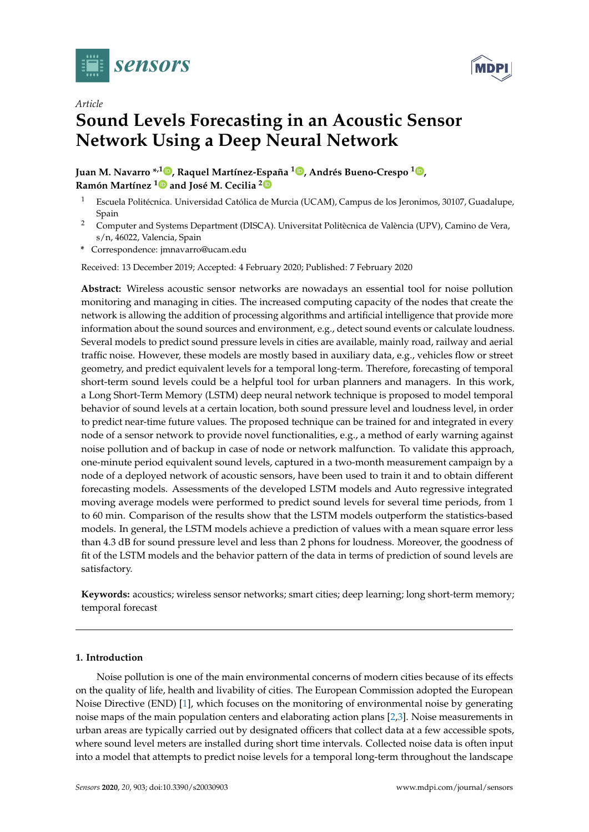

*Article*



# **Sound Levels Forecasting in an Acoustic Sensor Network Using a Deep Neural Network**

**Juan M. Navarro \*,1 [,](https://orcid.org/0000-0002-1409-8745) Raquel Martínez-España [1](https://orcid.org/0000-0002-6750-2203) , Andrés Bueno-Crespo <sup>1</sup> [,](https://orcid.org/0000-0003-1734-6852) Ramón Martínez [1](https://orcid.org/0000-0002-3708-6392) and José M. Cecilia [2](https://orcid.org/0000-0001-5648-214X)**

- <sup>1</sup> Escuela Politécnica. Universidad Católica de Murcia (UCAM), Campus de los Jeronimos, 30107, Guadalupe, Spain
- <sup>2</sup> Computer and Systems Department (DISCA). Universitat Politècnica de València (UPV), Camino de Vera, s/n, 46022, Valencia, Spain
- **\*** Correspondence: jmnavarro@ucam.edu

Received: 13 December 2019; Accepted: 4 February 2020; Published: 7 February 2020

**Abstract:** Wireless acoustic sensor networks are nowadays an essential tool for noise pollution monitoring and managing in cities. The increased computing capacity of the nodes that create the network is allowing the addition of processing algorithms and artificial intelligence that provide more information about the sound sources and environment, e.g., detect sound events or calculate loudness. Several models to predict sound pressure levels in cities are available, mainly road, railway and aerial traffic noise. However, these models are mostly based in auxiliary data, e.g., vehicles flow or street geometry, and predict equivalent levels for a temporal long-term. Therefore, forecasting of temporal short-term sound levels could be a helpful tool for urban planners and managers. In this work, a Long Short-Term Memory (LSTM) deep neural network technique is proposed to model temporal behavior of sound levels at a certain location, both sound pressure level and loudness level, in order to predict near-time future values. The proposed technique can be trained for and integrated in every node of a sensor network to provide novel functionalities, e.g., a method of early warning against noise pollution and of backup in case of node or network malfunction. To validate this approach, one-minute period equivalent sound levels, captured in a two-month measurement campaign by a node of a deployed network of acoustic sensors, have been used to train it and to obtain different forecasting models. Assessments of the developed LSTM models and Auto regressive integrated moving average models were performed to predict sound levels for several time periods, from 1 to 60 min. Comparison of the results show that the LSTM models outperform the statistics-based models. In general, the LSTM models achieve a prediction of values with a mean square error less than 4.3 dB for sound pressure level and less than 2 phons for loudness. Moreover, the goodness of fit of the LSTM models and the behavior pattern of the data in terms of prediction of sound levels are satisfactory.

**Keywords:** acoustics; wireless sensor networks; smart cities; deep learning; long short-term memory; temporal forecast

## **1. Introduction**

Noise pollution is one of the main environmental concerns of modern cities because of its effects on the quality of life, health and livability of cities. The European Commission adopted the European Noise Directive (END) [\[1\]](#page-13-0), which focuses on the monitoring of environmental noise by generating noise maps of the main population centers and elaborating action plans [\[2,](#page-13-1)[3\]](#page-13-2). Noise measurements in urban areas are typically carried out by designated officers that collect data at a few accessible spots, where sound level meters are installed during short time intervals. Collected noise data is often input into a model that attempts to predict noise levels for a temporal long-term throughout the landscape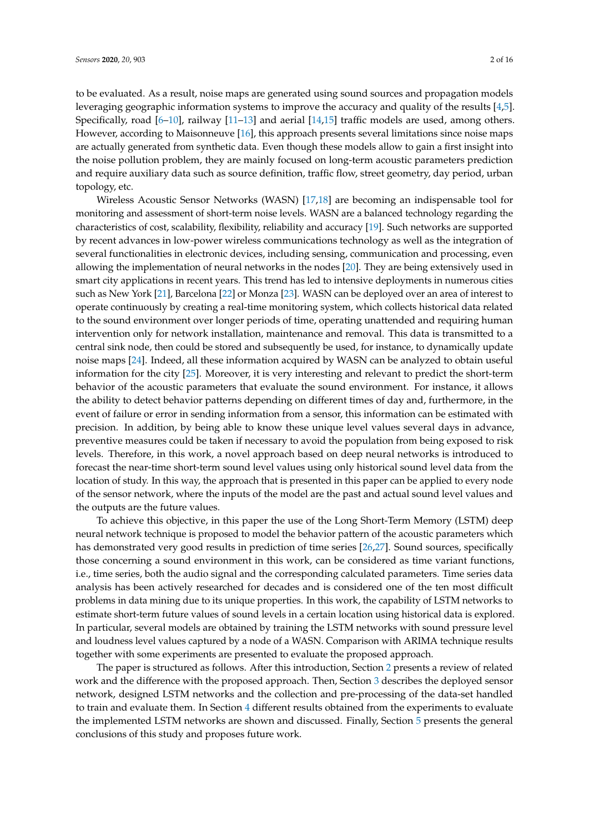to be evaluated. As a result, noise maps are generated using sound sources and propagation models leveraging geographic information systems to improve the accuracy and quality of the results [\[4,](#page-13-3)[5\]](#page-13-4). Specifically, road [\[6](#page-13-5)[–10\]](#page-13-6), railway [\[11–](#page-13-7)[13\]](#page-13-8) and aerial [\[14,](#page-13-9)[15\]](#page-13-10) traffic models are used, among others. However, according to Maisonneuve [\[16\]](#page-13-11), this approach presents several limitations since noise maps are actually generated from synthetic data. Even though these models allow to gain a first insight into the noise pollution problem, they are mainly focused on long-term acoustic parameters prediction and require auxiliary data such as source definition, traffic flow, street geometry, day period, urban topology, etc.

Wireless Acoustic Sensor Networks (WASN) [\[17,](#page-13-12)[18\]](#page-14-0) are becoming an indispensable tool for monitoring and assessment of short-term noise levels. WASN are a balanced technology regarding the characteristics of cost, scalability, flexibility, reliability and accuracy [\[19\]](#page-14-1). Such networks are supported by recent advances in low-power wireless communications technology as well as the integration of several functionalities in electronic devices, including sensing, communication and processing, even allowing the implementation of neural networks in the nodes [\[20\]](#page-14-2). They are being extensively used in smart city applications in recent years. This trend has led to intensive deployments in numerous cities such as New York [\[21\]](#page-14-3), Barcelona [\[22\]](#page-14-4) or Monza [\[23\]](#page-14-5). WASN can be deployed over an area of interest to operate continuously by creating a real-time monitoring system, which collects historical data related to the sound environment over longer periods of time, operating unattended and requiring human intervention only for network installation, maintenance and removal. This data is transmitted to a central sink node, then could be stored and subsequently be used, for instance, to dynamically update noise maps [\[24\]](#page-14-6). Indeed, all these information acquired by WASN can be analyzed to obtain useful information for the city [\[25\]](#page-14-7). Moreover, it is very interesting and relevant to predict the short-term behavior of the acoustic parameters that evaluate the sound environment. For instance, it allows the ability to detect behavior patterns depending on different times of day and, furthermore, in the event of failure or error in sending information from a sensor, this information can be estimated with precision. In addition, by being able to know these unique level values several days in advance, preventive measures could be taken if necessary to avoid the population from being exposed to risk levels. Therefore, in this work, a novel approach based on deep neural networks is introduced to forecast the near-time short-term sound level values using only historical sound level data from the location of study. In this way, the approach that is presented in this paper can be applied to every node of the sensor network, where the inputs of the model are the past and actual sound level values and the outputs are the future values.

To achieve this objective, in this paper the use of the Long Short-Term Memory (LSTM) deep neural network technique is proposed to model the behavior pattern of the acoustic parameters which has demonstrated very good results in prediction of time series [\[26,](#page-14-8)[27\]](#page-14-9). Sound sources, specifically those concerning a sound environment in this work, can be considered as time variant functions, i.e., time series, both the audio signal and the corresponding calculated parameters. Time series data analysis has been actively researched for decades and is considered one of the ten most difficult problems in data mining due to its unique properties. In this work, the capability of LSTM networks to estimate short-term future values of sound levels in a certain location using historical data is explored. In particular, several models are obtained by training the LSTM networks with sound pressure level and loudness level values captured by a node of a WASN. Comparison with ARIMA technique results together with some experiments are presented to evaluate the proposed approach.

The paper is structured as follows. After this introduction, Section [2](#page-2-0) presents a review of related work and the difference with the proposed approach. Then, Section [3](#page-2-1) describes the deployed sensor network, designed LSTM networks and the collection and pre-processing of the data-set handled to train and evaluate them. In Section [4](#page-6-0) different results obtained from the experiments to evaluate the implemented LSTM networks are shown and discussed. Finally, Section [5](#page-12-0) presents the general conclusions of this study and proposes future work.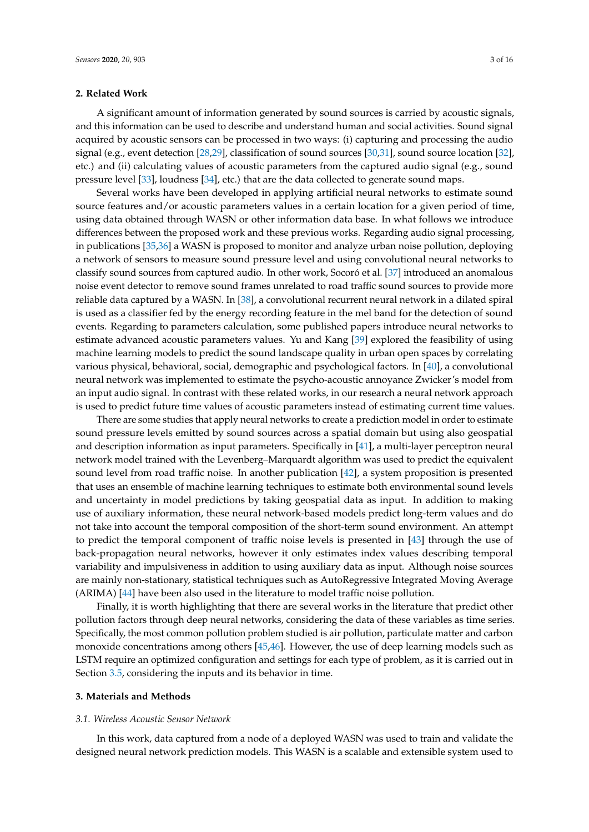#### <span id="page-2-0"></span>**2. Related Work**

A significant amount of information generated by sound sources is carried by acoustic signals, and this information can be used to describe and understand human and social activities. Sound signal acquired by acoustic sensors can be processed in two ways: (i) capturing and processing the audio signal (e.g., event detection [\[28](#page-14-10)[,29\]](#page-14-11), classification of sound sources [\[30](#page-14-12)[,31\]](#page-14-13), sound source location [\[32\]](#page-14-14), etc.) and (ii) calculating values of acoustic parameters from the captured audio signal (e.g., sound pressure level [\[33\]](#page-14-15), loudness [\[34\]](#page-14-16), etc.) that are the data collected to generate sound maps.

Several works have been developed in applying artificial neural networks to estimate sound source features and/or acoustic parameters values in a certain location for a given period of time, using data obtained through WASN or other information data base. In what follows we introduce differences between the proposed work and these previous works. Regarding audio signal processing, in publications [\[35,](#page-14-17)[36\]](#page-14-18) a WASN is proposed to monitor and analyze urban noise pollution, deploying a network of sensors to measure sound pressure level and using convolutional neural networks to classify sound sources from captured audio. In other work, Socoró et al. [\[37\]](#page-14-19) introduced an anomalous noise event detector to remove sound frames unrelated to road traffic sound sources to provide more reliable data captured by a WASN. In [\[38\]](#page-14-20), a convolutional recurrent neural network in a dilated spiral is used as a classifier fed by the energy recording feature in the mel band for the detection of sound events. Regarding to parameters calculation, some published papers introduce neural networks to estimate advanced acoustic parameters values. Yu and Kang [\[39\]](#page-14-21) explored the feasibility of using machine learning models to predict the sound landscape quality in urban open spaces by correlating various physical, behavioral, social, demographic and psychological factors. In [\[40\]](#page-15-0), a convolutional neural network was implemented to estimate the psycho-acoustic annoyance Zwicker's model from an input audio signal. In contrast with these related works, in our research a neural network approach is used to predict future time values of acoustic parameters instead of estimating current time values.

There are some studies that apply neural networks to create a prediction model in order to estimate sound pressure levels emitted by sound sources across a spatial domain but using also geospatial and description information as input parameters. Specifically in [\[41\]](#page-15-1), a multi-layer perceptron neural network model trained with the Levenberg–Marquardt algorithm was used to predict the equivalent sound level from road traffic noise. In another publication [\[42\]](#page-15-2), a system proposition is presented that uses an ensemble of machine learning techniques to estimate both environmental sound levels and uncertainty in model predictions by taking geospatial data as input. In addition to making use of auxiliary information, these neural network-based models predict long-term values and do not take into account the temporal composition of the short-term sound environment. An attempt to predict the temporal component of traffic noise levels is presented in [\[43\]](#page-15-3) through the use of back-propagation neural networks, however it only estimates index values describing temporal variability and impulsiveness in addition to using auxiliary data as input. Although noise sources are mainly non-stationary, statistical techniques such as AutoRegressive Integrated Moving Average (ARIMA) [\[44\]](#page-15-4) have been also used in the literature to model traffic noise pollution.

Finally, it is worth highlighting that there are several works in the literature that predict other pollution factors through deep neural networks, considering the data of these variables as time series. Specifically, the most common pollution problem studied is air pollution, particulate matter and carbon monoxide concentrations among others [\[45,](#page-15-5)[46\]](#page-15-6). However, the use of deep learning models such as LSTM require an optimized configuration and settings for each type of problem, as it is carried out in Section [3.5,](#page-5-0) considering the inputs and its behavior in time.

## <span id="page-2-1"></span>**3. Materials and Methods**

## *3.1. Wireless Acoustic Sensor Network*

In this work, data captured from a node of a deployed WASN was used to train and validate the designed neural network prediction models. This WASN is a scalable and extensible system used to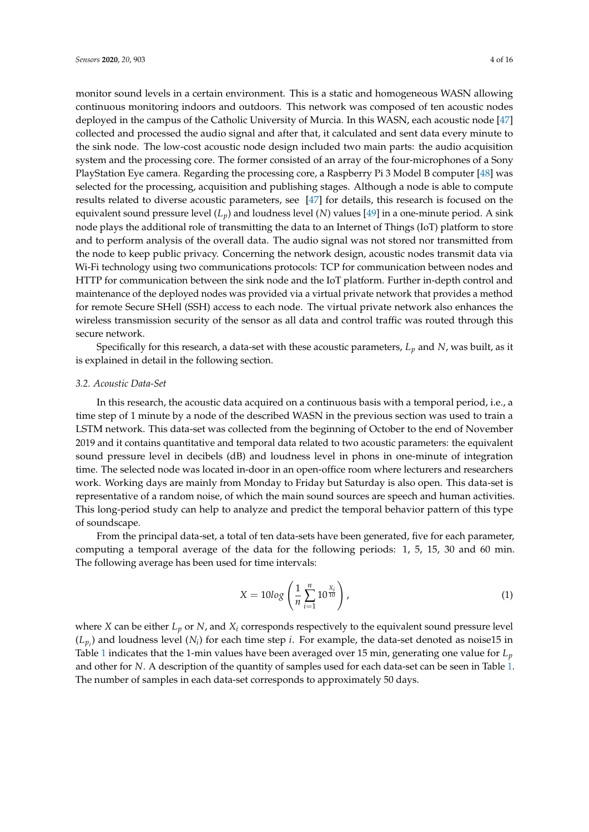monitor sound levels in a certain environment. This is a static and homogeneous WASN allowing continuous monitoring indoors and outdoors. This network was composed of ten acoustic nodes deployed in the campus of the Catholic University of Murcia. In this WASN, each acoustic node [\[47\]](#page-15-7) collected and processed the audio signal and after that, it calculated and sent data every minute to the sink node. The low-cost acoustic node design included two main parts: the audio acquisition system and the processing core. The former consisted of an array of the four-microphones of a Sony PlayStation Eye camera. Regarding the processing core, a Raspberry Pi 3 Model B computer [\[48\]](#page-15-8) was selected for the processing, acquisition and publishing stages. Although a node is able to compute results related to diverse acoustic parameters, see [\[47\]](#page-15-7) for details, this research is focused on the equivalent sound pressure level (*Lp*) and loudness level (*N*) values [\[49\]](#page-15-9) in a one-minute period. A sink node plays the additional role of transmitting the data to an Internet of Things (IoT) platform to store and to perform analysis of the overall data. The audio signal was not stored nor transmitted from the node to keep public privacy. Concerning the network design, acoustic nodes transmit data via Wi-Fi technology using two communications protocols: TCP for communication between nodes and HTTP for communication between the sink node and the IoT platform. Further in-depth control and maintenance of the deployed nodes was provided via a virtual private network that provides a method for remote Secure SHell (SSH) access to each node. The virtual private network also enhances the wireless transmission security of the sensor as all data and control traffic was routed through this secure network.

Specifically for this research, a data-set with these acoustic parameters, *L<sup>p</sup>* and *N*, was built, as it is explained in detail in the following section.

#### <span id="page-3-0"></span>*3.2. Acoustic Data-Set*

In this research, the acoustic data acquired on a continuous basis with a temporal period, i.e., a time step of 1 minute by a node of the described WASN in the previous section was used to train a LSTM network. This data-set was collected from the beginning of October to the end of November 2019 and it contains quantitative and temporal data related to two acoustic parameters: the equivalent sound pressure level in decibels (dB) and loudness level in phons in one-minute of integration time. The selected node was located in-door in an open-office room where lecturers and researchers work. Working days are mainly from Monday to Friday but Saturday is also open. This data-set is representative of a random noise, of which the main sound sources are speech and human activities. This long-period study can help to analyze and predict the temporal behavior pattern of this type of soundscape.

From the principal data-set, a total of ten data-sets have been generated, five for each parameter, computing a temporal average of the data for the following periods: 1, 5, 15, 30 and 60 min. The following average has been used for time intervals:

$$
X = 10\log\left(\frac{1}{n}\sum_{i=1}^{n} 10^{\frac{X_i}{10}}\right),\tag{1}
$$

where *X* can be either *L<sup>p</sup>* or *N*, and *X<sup>i</sup>* corresponds respectively to the equivalent sound pressure level  $(L_{p_i})$  and loudness level  $(N_i)$  for each time step *i*. For example, the data-set denoted as noise15 in Table [1](#page-4-0) indicates that the 1-min values have been averaged over 15 min, generating one value for *L<sup>p</sup>* and other for *N*. A description of the quantity of samples used for each data-set can be seen in Table [1.](#page-4-0) The number of samples in each data-set corresponds to approximately 50 days.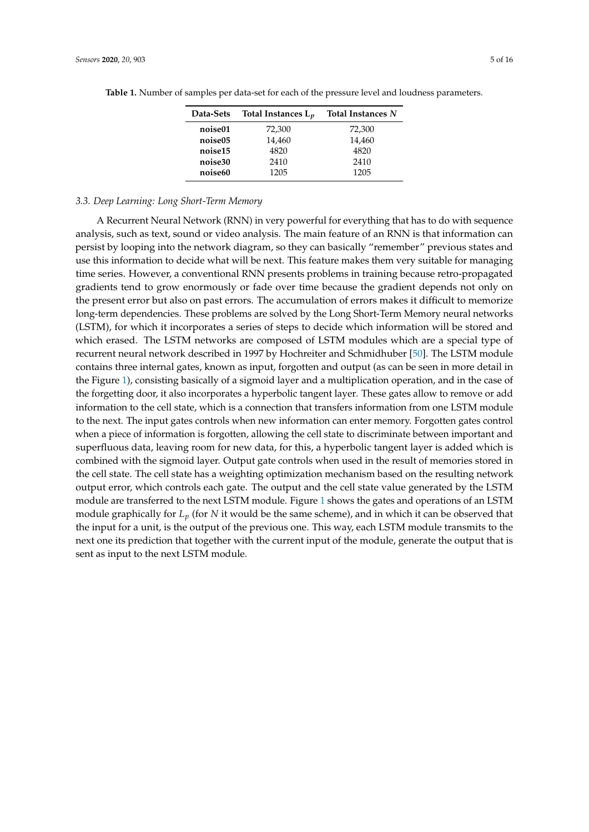| Data-Sets           | Total Instances $L_p$ | <b>Total Instances N</b> |
|---------------------|-----------------------|--------------------------|
| noise01             | 72,300                | 72,300                   |
| noise05             | 14,460                | 14,460                   |
| noise15             | 4820                  | 4820                     |
| noise30             | 2410                  | 2410                     |
| noise <sub>60</sub> | 1205                  | 1205                     |
|                     |                       |                          |

<span id="page-4-0"></span>**Table 1.** Number of samples per data-set for each of the pressure level and loudness parameters.

## *3.3. Deep Learning: Long Short-Term Memory*

A Recurrent Neural Network (RNN) in very powerful for everything that has to do with sequence analysis, such as text, sound or video analysis. The main feature of an RNN is that information can persist by looping into the network diagram, so they can basically "remember" previous states and use this information to decide what will be next. This feature makes them very suitable for managing time series. However, a conventional RNN presents problems in training because retro-propagated gradients tend to grow enormously or fade over time because the gradient depends not only on the present error but also on past errors. The accumulation of errors makes it difficult to memorize long-term dependencies. These problems are solved by the Long Short-Term Memory neural networks (LSTM), for which it incorporates a series of steps to decide which information will be stored and which erased. The LSTM networks are composed of LSTM modules which are a special type of recurrent neural network described in 1997 by Hochreiter and Schmidhuber [\[50\]](#page-15-10). The LSTM module contains three internal gates, known as input, forgotten and output (as can be seen in more detail in the Figure [1\)](#page-5-1), consisting basically of a sigmoid layer and a multiplication operation, and in the case of the forgetting door, it also incorporates a hyperbolic tangent layer. These gates allow to remove or add information to the cell state, which is a connection that transfers information from one LSTM module to the next. The input gates controls when new information can enter memory. Forgotten gates control when a piece of information is forgotten, allowing the cell state to discriminate between important and superfluous data, leaving room for new data, for this, a hyperbolic tangent layer is added which is combined with the sigmoid layer. Output gate controls when used in the result of memories stored in the cell state. The cell state has a weighting optimization mechanism based on the resulting network output error, which controls each gate. The output and the cell state value generated by the LSTM module are transferred to the next LSTM module. Figure [1](#page-5-1) shows the gates and operations of an LSTM module graphically for *L<sup>p</sup>* (for *N* it would be the same scheme), and in which it can be observed that the input for a unit, is the output of the previous one. This way, each LSTM module transmits to the next one its prediction that together with the current input of the module, generate the output that is sent as input to the next LSTM module.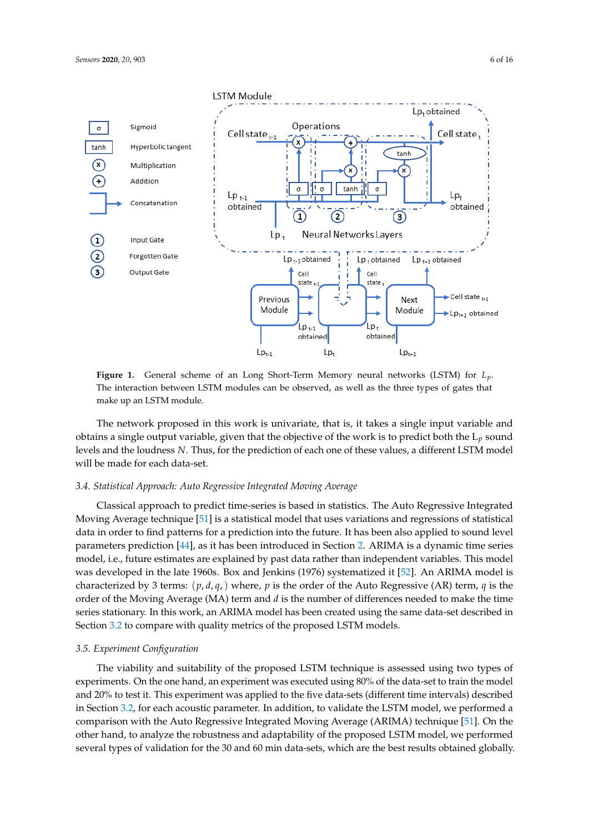<span id="page-5-1"></span>

**Figure 1.** General scheme of an Long Short-Term Memory neural networks (LSTM) for *Lp*. The interaction between LSTM modules can be observed, as well as the three types of gates that make up an LSTM module.

The network proposed in this work is univariate, that is, it takes a single input variable and obtains a single output variable, given that the objective of the work is to predict both the L*p* sound levels and the loudness *N*. Thus, for the prediction of each one of these values, a different LSTM model will be made for each data-set.

#### *3.4. Statistical Approach: Auto Regressive Integrated Moving Average*

Classical approach to predict time-series is based in statistics. The Auto Regressive Integrated Moving Average technique [\[51\]](#page-15-11) is a statistical model that uses variations and regressions of statistical data in order to find patterns for a prediction into the future. It has been also applied to sound level parameters prediction [\[44\]](#page-15-4), as it has been introduced in Section [2.](#page-2-0) ARIMA is a dynamic time series model, i.e., future estimates are explained by past data rather than independent variables. This model was developed in the late 1960s. Box and Jenkins (1976) systematized it [\[52\]](#page-15-12). An ARIMA model is characterized by 3 terms:  $(p, d, q)$  where, p is the order of the Auto Regressive (AR) term, q is the order of the Moving Average (MA) term and *d* is the number of differences needed to make the time series stationary. In this work, an ARIMA model has been created using the same data-set described in Section [3.2](#page-3-0) to compare with quality metrics of the proposed LSTM models.

## <span id="page-5-0"></span>*3.5. Experiment Configuration*

The viability and suitability of the proposed LSTM technique is assessed using two types of experiments. On the one hand, an experiment was executed using 80% of the data-set to train the model and 20% to test it. This experiment was applied to the five data-sets (different time intervals) described in Section [3.2,](#page-3-0) for each acoustic parameter. In addition, to validate the LSTM model, we performed a comparison with the Auto Regressive Integrated Moving Average (ARIMA) technique [\[51\]](#page-15-11). On the other hand, to analyze the robustness and adaptability of the proposed LSTM model, we performed several types of validation for the 30 and 60 min data-sets, which are the best results obtained globally.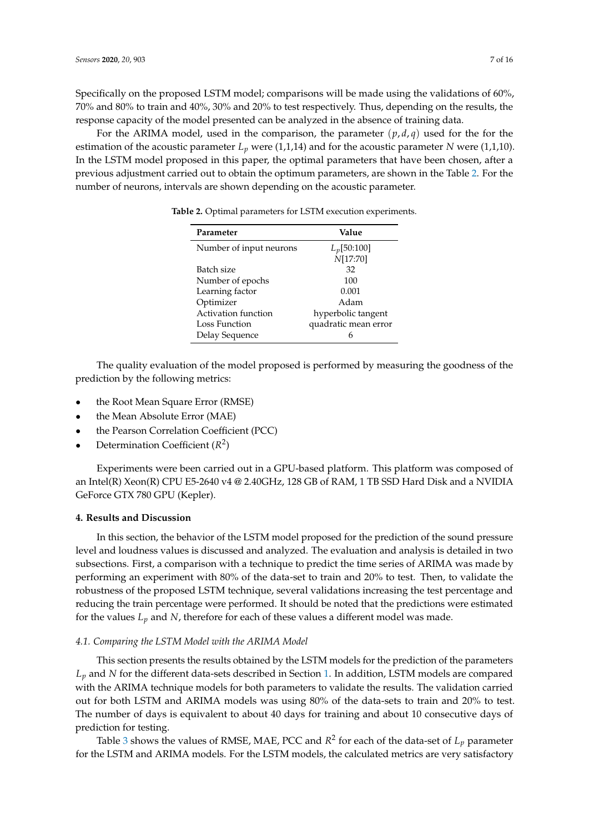Specifically on the proposed LSTM model; comparisons will be made using the validations of 60%, 70% and 80% to train and 40%, 30% and 20% to test respectively. Thus, depending on the results, the response capacity of the model presented can be analyzed in the absence of training data.

<span id="page-6-1"></span>For the ARIMA model, used in the comparison, the parameter  $(p, d, q)$  used for the for the estimation of the acoustic parameter  $L_p$  were (1,1,14) and for the acoustic parameter *N* were (1,1,10). In the LSTM model proposed in this paper, the optimal parameters that have been chosen, after a previous adjustment carried out to obtain the optimum parameters, are shown in the Table [2.](#page-6-1) For the number of neurons, intervals are shown depending on the acoustic parameter.

| Value                |
|----------------------|
| $L_p[50:100]$        |
| N[17:70]             |
| 32                   |
| 100                  |
| 0.001                |
| Adam                 |
| hyperbolic tangent   |
| quadratic mean error |
|                      |
|                      |

**Table 2.** Optimal parameters for LSTM execution experiments.

The quality evaluation of the model proposed is performed by measuring the goodness of the prediction by the following metrics:

- the Root Mean Square Error (RMSE)
- the Mean Absolute Error (MAE)
- the Pearson Correlation Coefficient (PCC)
- Determination Coefficient  $(R^2)$

Experiments were been carried out in a GPU-based platform. This platform was composed of an Intel(R) Xeon(R) CPU E5-2640 v4 @ 2.40GHz, 128 GB of RAM, 1 TB SSD Hard Disk and a NVIDIA GeForce GTX 780 GPU (Kepler).

## <span id="page-6-0"></span>**4. Results and Discussion**

In this section, the behavior of the LSTM model proposed for the prediction of the sound pressure level and loudness values is discussed and analyzed. The evaluation and analysis is detailed in two subsections. First, a comparison with a technique to predict the time series of ARIMA was made by performing an experiment with 80% of the data-set to train and 20% to test. Then, to validate the robustness of the proposed LSTM technique, several validations increasing the test percentage and reducing the train percentage were performed. It should be noted that the predictions were estimated for the values *L<sup>p</sup>* and *N*, therefore for each of these values a different model was made.

#### *4.1. Comparing the LSTM Model with the ARIMA Model*

This section presents the results obtained by the LSTM models for the prediction of the parameters *L<sup>p</sup>* and *N* for the different data-sets described in Section [1.](#page-4-0) In addition, LSTM models are compared with the ARIMA technique models for both parameters to validate the results. The validation carried out for both LSTM and ARIMA models was using 80% of the data-sets to train and 20% to test. The number of days is equivalent to about 40 days for training and about 10 consecutive days of prediction for testing.

Table [3](#page-7-0) shows the values of RMSE, MAE, PCC and *R* 2 for each of the data-set of *L<sup>p</sup>* parameter for the LSTM and ARIMA models. For the LSTM models, the calculated metrics are very satisfactory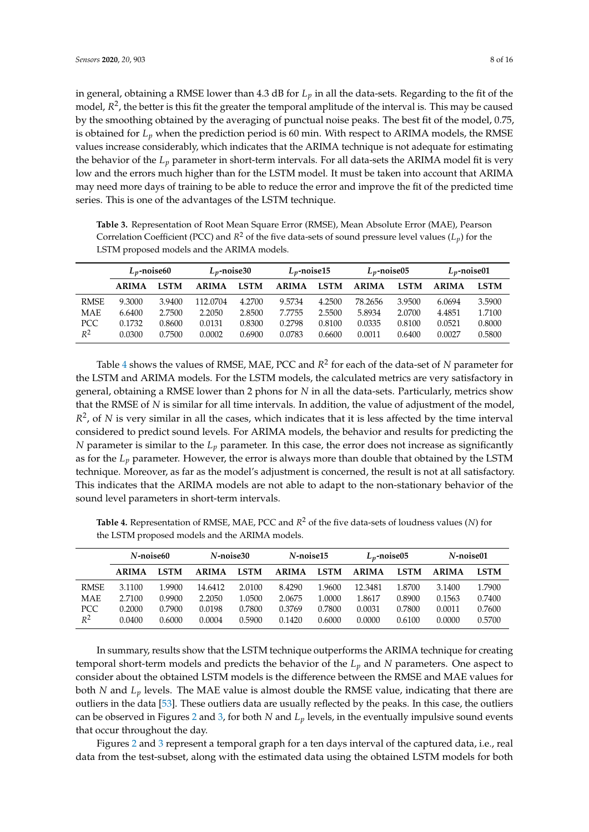in general, obtaining a RMSE lower than 4.3 dB for *L<sup>p</sup>* in all the data-sets. Regarding to the fit of the model, *R* 2 , the better is this fit the greater the temporal amplitude of the interval is. This may be caused by the smoothing obtained by the averaging of punctual noise peaks. The best fit of the model, 0.75, is obtained for *L<sup>p</sup>* when the prediction period is 60 min. With respect to ARIMA models, the RMSE values increase considerably, which indicates that the ARIMA technique is not adequate for estimating the behavior of the *L<sup>p</sup>* parameter in short-term intervals. For all data-sets the ARIMA model fit is very low and the errors much higher than for the LSTM model. It must be taken into account that ARIMA may need more days of training to be able to reduce the error and improve the fit of the predicted time series. This is one of the advantages of the LSTM technique.

<span id="page-7-0"></span>**Table 3.** Representation of Root Mean Square Error (RMSE), Mean Absolute Error (MAE), Pearson Correlation Coefficient (PCC) and  $R^2$  of the five data-sets of sound pressure level values ( $L_p$ ) for the LSTM proposed models and the ARIMA models.

|             | $Ln$ -noise60 |             | $Ln$ -noise30 |             | $Ln$ -noise15 |             | $Ln$ -noise05 |             | $L_n$ -noise01 |        |
|-------------|---------------|-------------|---------------|-------------|---------------|-------------|---------------|-------------|----------------|--------|
|             | <b>ARIMA</b>  | <b>LSTM</b> | <b>ARIMA</b>  | <b>LSTM</b> | <b>ARIMA</b>  | <b>LSTM</b> | <b>ARIMA</b>  | <b>LSTM</b> | <b>ARIMA</b>   | LSTM   |
| <b>RMSE</b> | 9.3000        | 3.9400      | 112.0704      | 4.2700      | 9.5734        | 4.2500      | 78.2656       | 3.9500      | 6.0694         | 3.5900 |
| MAE         | 6.6400        | 2.7500      | 2.2050        | 2.8500      | 7.7755        | 2.5500      | 5.8934        | 2.0700      | 4.4851         | 1.7100 |
| <b>PCC</b>  | 0.1732        | 0.8600      | 0.0131        | 0.8300      | 0.2798        | 0.8100      | 0.0335        | 0.8100      | 0.0521         | 0.8000 |
| $R^2$       | 0.0300        | 0.7500      | 0.0002        | 0.6900      | 0.0783        | 0.6600      | 0.0011        | 0.6400      | 0.0027         | 0.5800 |

Table [4](#page-7-1) shows the values of RMSE, MAE, PCC and *R* 2 for each of the data-set of *N* parameter for the LSTM and ARIMA models. For the LSTM models, the calculated metrics are very satisfactory in general, obtaining a RMSE lower than 2 phons for *N* in all the data-sets. Particularly, metrics show that the RMSE of *N* is similar for all time intervals. In addition, the value of adjustment of the model,  $R<sup>2</sup>$ , of *N* is very similar in all the cases, which indicates that it is less affected by the time interval considered to predict sound levels. For ARIMA models, the behavior and results for predicting the *N* parameter is similar to the *L<sup>p</sup>* parameter. In this case, the error does not increase as significantly as for the *L<sup>p</sup>* parameter. However, the error is always more than double that obtained by the LSTM technique. Moreover, as far as the model's adjustment is concerned, the result is not at all satisfactory. This indicates that the ARIMA models are not able to adapt to the non-stationary behavior of the sound level parameters in short-term intervals.

<span id="page-7-1"></span>**Table 4.** Representation of RMSE, MAE, PCC and *R* <sup>2</sup> of the five data-sets of loudness values (*N*) for the LSTM proposed models and the ARIMA models.

|             | N-noise60    |        | N-noise30    |             | N-noise15    |             | $L_n$ -noise05 |             | N-noise01    |             |
|-------------|--------------|--------|--------------|-------------|--------------|-------------|----------------|-------------|--------------|-------------|
|             | <b>ARIMA</b> | LSTM   | <b>ARIMA</b> | <b>LSTM</b> | <b>ARIMA</b> | <b>LSTM</b> | <b>ARIMA</b>   | <b>LSTM</b> | <b>ARIMA</b> | <b>LSTM</b> |
| <b>RMSE</b> | 3.1100       | 1.9900 | 14.6412      | 2.0100      | 8.4290       | 1.9600      | 12.3481        | 1.8700      | 3.1400       | 1.7900      |
| MAE         | 2.7100       | 0.9900 | 2.2050       | 1.0500      | 2.0675       | 1.0000      | 1.8617         | 0.8900      | 0.1563       | 0.7400      |
| <b>PCC</b>  | 0.2000       | 0.7900 | 0.0198       | 0.7800      | 0.3769       | 0.7800      | 0.0031         | 0.7800      | 0.0011       | 0.7600      |
| $R^2$       | 0.0400       | 0.6000 | 0.0004       | 0.5900      | 0.1420       | 0.6000      | 0.0000         | 0.6100      | 0.0000       | 0.5700      |

In summary, results show that the LSTM technique outperforms the ARIMA technique for creating temporal short-term models and predicts the behavior of the *L<sup>p</sup>* and *N* parameters. One aspect to consider about the obtained LSTM models is the difference between the RMSE and MAE values for both *N* and *L<sup>p</sup>* levels. The MAE value is almost double the RMSE value, indicating that there are outliers in the data [\[53\]](#page-15-13). These outliers data are usually reflected by the peaks. In this case, the outliers can be observed in Figures [2](#page-9-0) and [3,](#page-10-0) for both *N* and *L<sup>p</sup>* levels, in the eventually impulsive sound events that occur throughout the day.

Figures [2](#page-9-0) and [3](#page-10-0) represent a temporal graph for a ten days interval of the captured data, i.e., real data from the test-subset, along with the estimated data using the obtained LSTM models for both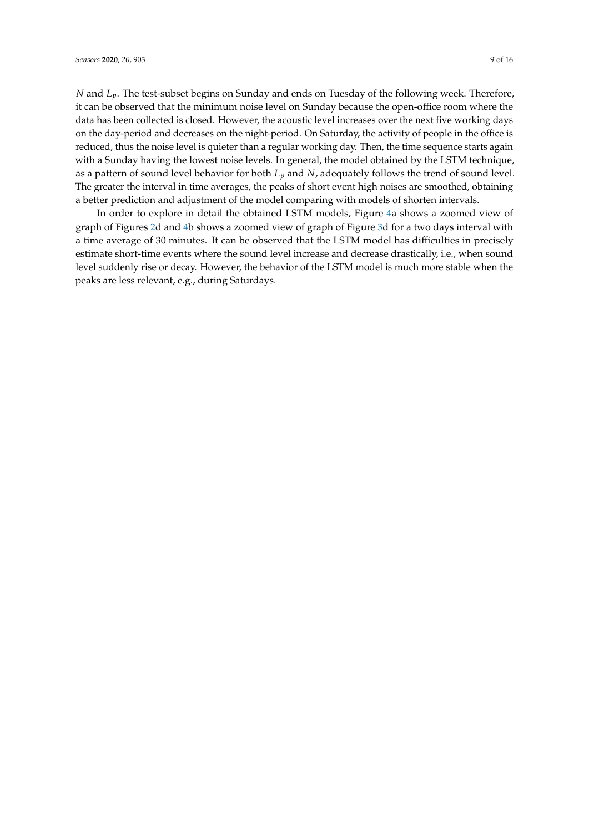*N* and *Lp*. The test-subset begins on Sunday and ends on Tuesday of the following week. Therefore, it can be observed that the minimum noise level on Sunday because the open-office room where the data has been collected is closed. However, the acoustic level increases over the next five working days on the day-period and decreases on the night-period. On Saturday, the activity of people in the office is reduced, thus the noise level is quieter than a regular working day. Then, the time sequence starts again with a Sunday having the lowest noise levels. In general, the model obtained by the LSTM technique, as a pattern of sound level behavior for both *L<sup>p</sup>* and *N*, adequately follows the trend of sound level. The greater the interval in time averages, the peaks of short event high noises are smoothed, obtaining a better prediction and adjustment of the model comparing with models of shorten intervals.

In order to explore in detail the obtained LSTM models, Figure [4a](#page-11-0) shows a zoomed view of graph of Figures [2d](#page-9-0) and [4b](#page-11-0) shows a zoomed view of graph of Figure [3d](#page-10-0) for a two days interval with a time average of 30 minutes. It can be observed that the LSTM model has difficulties in precisely estimate short-time events where the sound level increase and decrease drastically, i.e., when sound level suddenly rise or decay. However, the behavior of the LSTM model is much more stable when the peaks are less relevant, e.g., during Saturdays.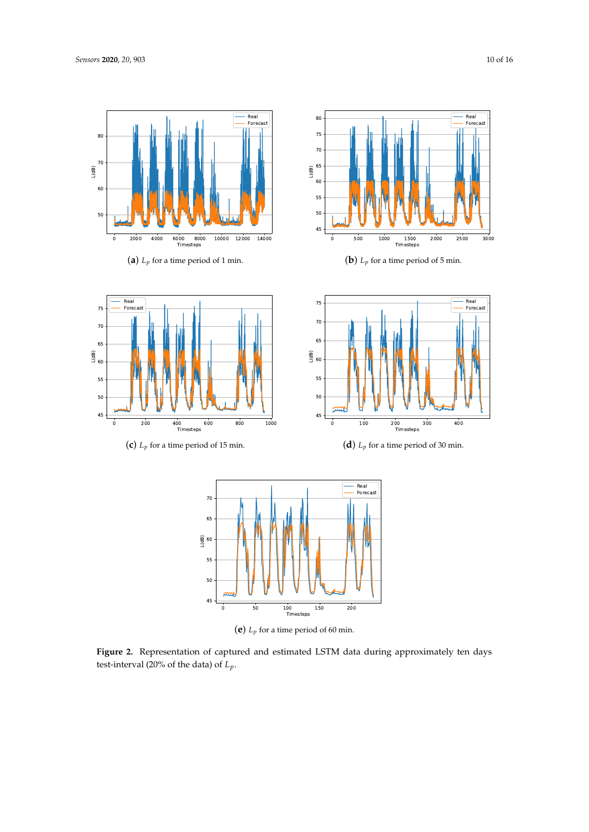<span id="page-9-0"></span>





**(b)**  $L_p$  for a time period of 5 min.



(**c**) *L<sup>p</sup>* for a time period of 15 min.

(**d**)  $L_p$  for a time period of 30 min.



(e)  $L_p$  for a time period of 60 min.

**Figure 2.** Representation of captured and estimated LSTM data during approximately ten days test-interval (20% of the data) of *Lp*.

Real<br>Forecast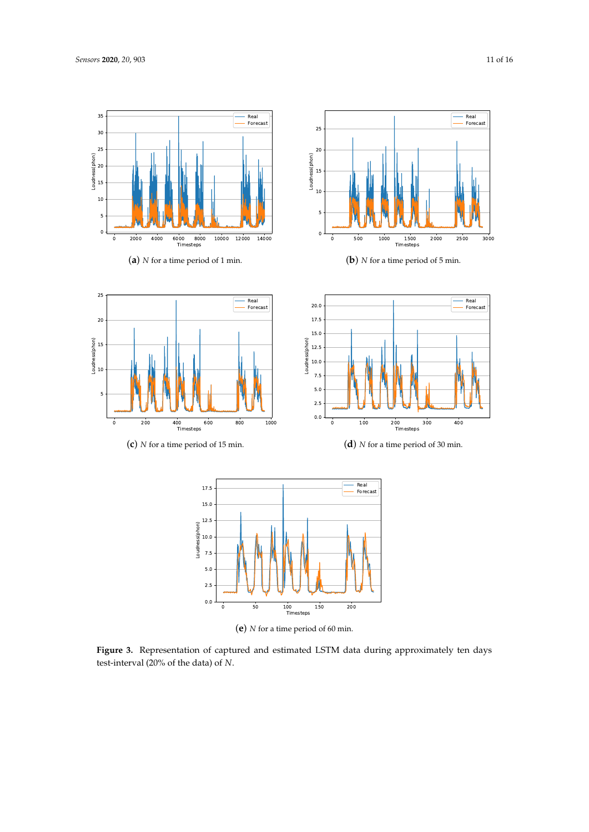$\dot{\mathbf{o}}$ 

5 -

200

- 3000

Real<br>Forecast

 $\equiv$ 

<span id="page-10-0"></span>



(**c**) *N* for a time period of 15 min.

600

--

1000

60 400<br>Timesteps

(**d**) *N* for a time period of 30 min.





**Figure 3.** Representation of captured and estimated LSTM data during approximately ten days test-interval (20% of the data) of *N*.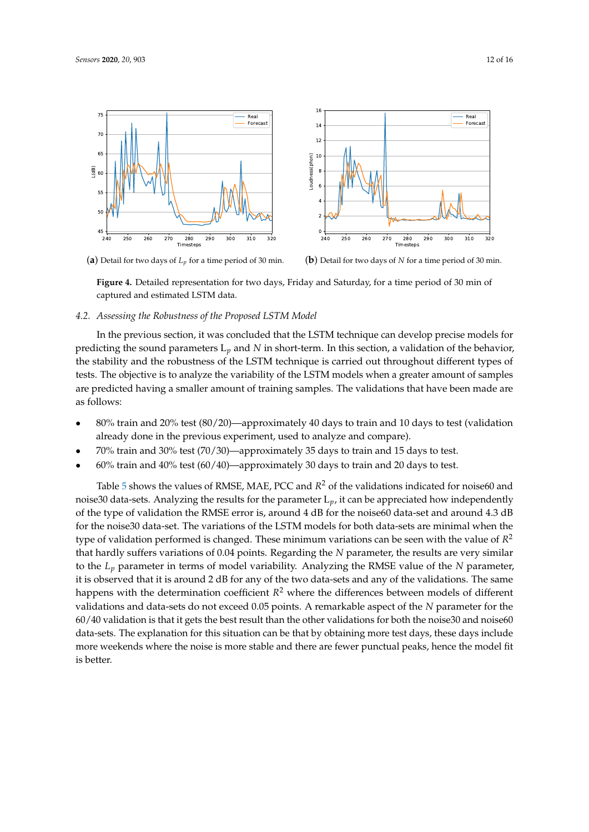<span id="page-11-0"></span>

(**a**) Detail for two days of *L<sup>p</sup>* for a time period of 30 min.

(**b**) Detail for two days of *N* for a time period of 30 min.

**Figure 4.** Detailed representation for two days, Friday and Saturday, for a time period of 30 min of captured and estimated LSTM data.

#### *4.2. Assessing the Robustness of the Proposed LSTM Model*

In the previous section, it was concluded that the LSTM technique can develop precise models for predicting the sound parameters L*<sup>p</sup>* and *N* in short-term. In this section, a validation of the behavior, the stability and the robustness of the LSTM technique is carried out throughout different types of tests. The objective is to analyze the variability of the LSTM models when a greater amount of samples are predicted having a smaller amount of training samples. The validations that have been made are as follows:

- 80% train and 20% test (80/20)—approximately 40 days to train and 10 days to test (validation already done in the previous experiment, used to analyze and compare).
- 70% train and 30% test (70/30)—approximately 35 days to train and 15 days to test.
- $60\%$  train and  $40\%$  test  $(60/40)$ —approximately 30 days to train and 20 days to test.

Table [5](#page-12-1) shows the values of RMSE, MAE, PCC and *R* <sup>2</sup> of the validations indicated for noise60 and noise30 data-sets. Analyzing the results for the parameter L*p*, it can be appreciated how independently of the type of validation the RMSE error is, around 4 dB for the noise60 data-set and around 4.3 dB for the noise30 data-set. The variations of the LSTM models for both data-sets are minimal when the type of validation performed is changed. These minimum variations can be seen with the value of *R* 2 that hardly suffers variations of 0.04 points. Regarding the *N* parameter, the results are very similar to the *L<sup>p</sup>* parameter in terms of model variability. Analyzing the RMSE value of the *N* parameter, it is observed that it is around 2 dB for any of the two data-sets and any of the validations. The same happens with the determination coefficient  $R^2$  where the differences between models of different validations and data-sets do not exceed 0.05 points. A remarkable aspect of the *N* parameter for the 60/40 validation is that it gets the best result than the other validations for both the noise30 and noise60 data-sets. The explanation for this situation can be that by obtaining more test days, these days include more weekends where the noise is more stable and there are fewer punctual peaks, hence the model fit is better.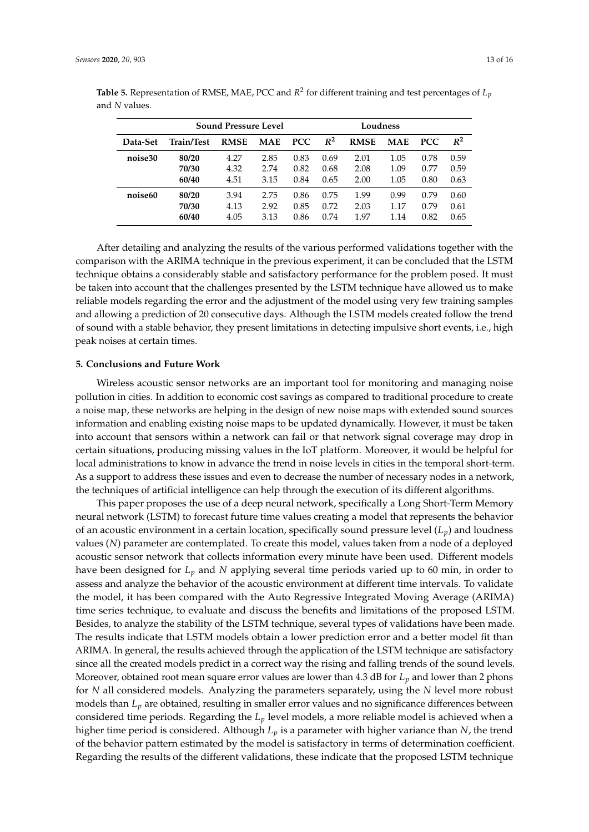|                     | Sound Pressure Level |             |            |            |       | Loudness    |            |            |       |
|---------------------|----------------------|-------------|------------|------------|-------|-------------|------------|------------|-------|
| Data-Set            | Train/Test           | <b>RMSE</b> | <b>MAE</b> | <b>PCC</b> | $R^2$ | <b>RMSE</b> | <b>MAE</b> | <b>PCC</b> | $R^2$ |
| noise30             | 80/20                | 4.27        | 2.85       | 0.83       | 0.69  | 2.01        | 1.05       | 0.78       | 0.59  |
|                     | 70/30                | 4.32        | 2.74       | 0.82       | 0.68  | 2.08        | 1.09       | 0.77       | 0.59  |
|                     | 60/40                | 4.51        | 3.15       | 0.84       | 0.65  | 2.00        | 1.05       | 0.80       | 0.63  |
| noise <sub>60</sub> | 80/20                | 3.94        | 2.75       | 0.86       | 0.75  | 1.99        | 0.99       | 0.79       | 0.60  |
|                     | 70/30                | 4.13        | 2.92       | 0.85       | 0.72  | 2.03        | 1.17       | 0.79       | 0.61  |
|                     | 60/40                | 4.05        | 3.13       | 0.86       | 0.74  | 1.97        | 1.14       | 0.82       | 0.65  |

<span id="page-12-1"></span>**Table 5.** Representation of RMSE, MAE, PCC and  $R^2$  for different training and test percentages of  $L_p$ and *N* values.

After detailing and analyzing the results of the various performed validations together with the comparison with the ARIMA technique in the previous experiment, it can be concluded that the LSTM technique obtains a considerably stable and satisfactory performance for the problem posed. It must be taken into account that the challenges presented by the LSTM technique have allowed us to make reliable models regarding the error and the adjustment of the model using very few training samples and allowing a prediction of 20 consecutive days. Although the LSTM models created follow the trend of sound with a stable behavior, they present limitations in detecting impulsive short events, i.e., high peak noises at certain times.

#### <span id="page-12-0"></span>**5. Conclusions and Future Work**

Wireless acoustic sensor networks are an important tool for monitoring and managing noise pollution in cities. In addition to economic cost savings as compared to traditional procedure to create a noise map, these networks are helping in the design of new noise maps with extended sound sources information and enabling existing noise maps to be updated dynamically. However, it must be taken into account that sensors within a network can fail or that network signal coverage may drop in certain situations, producing missing values in the IoT platform. Moreover, it would be helpful for local administrations to know in advance the trend in noise levels in cities in the temporal short-term. As a support to address these issues and even to decrease the number of necessary nodes in a network, the techniques of artificial intelligence can help through the execution of its different algorithms.

This paper proposes the use of a deep neural network, specifically a Long Short-Term Memory neural network (LSTM) to forecast future time values creating a model that represents the behavior of an acoustic environment in a certain location, specifically sound pressure level (*Lp*) and loudness values (*N*) parameter are contemplated. To create this model, values taken from a node of a deployed acoustic sensor network that collects information every minute have been used. Different models have been designed for *L<sup>p</sup>* and *N* applying several time periods varied up to 60 min, in order to assess and analyze the behavior of the acoustic environment at different time intervals. To validate the model, it has been compared with the Auto Regressive Integrated Moving Average (ARIMA) time series technique, to evaluate and discuss the benefits and limitations of the proposed LSTM. Besides, to analyze the stability of the LSTM technique, several types of validations have been made. The results indicate that LSTM models obtain a lower prediction error and a better model fit than ARIMA. In general, the results achieved through the application of the LSTM technique are satisfactory since all the created models predict in a correct way the rising and falling trends of the sound levels. Moreover, obtained root mean square error values are lower than 4.3 dB for *L<sup>p</sup>* and lower than 2 phons for *N* all considered models. Analyzing the parameters separately, using the *N* level more robust models than *L<sup>p</sup>* are obtained, resulting in smaller error values and no significance differences between considered time periods. Regarding the *L<sup>p</sup>* level models, a more reliable model is achieved when a higher time period is considered. Although *L<sup>p</sup>* is a parameter with higher variance than *N*, the trend of the behavior pattern estimated by the model is satisfactory in terms of determination coefficient. Regarding the results of the different validations, these indicate that the proposed LSTM technique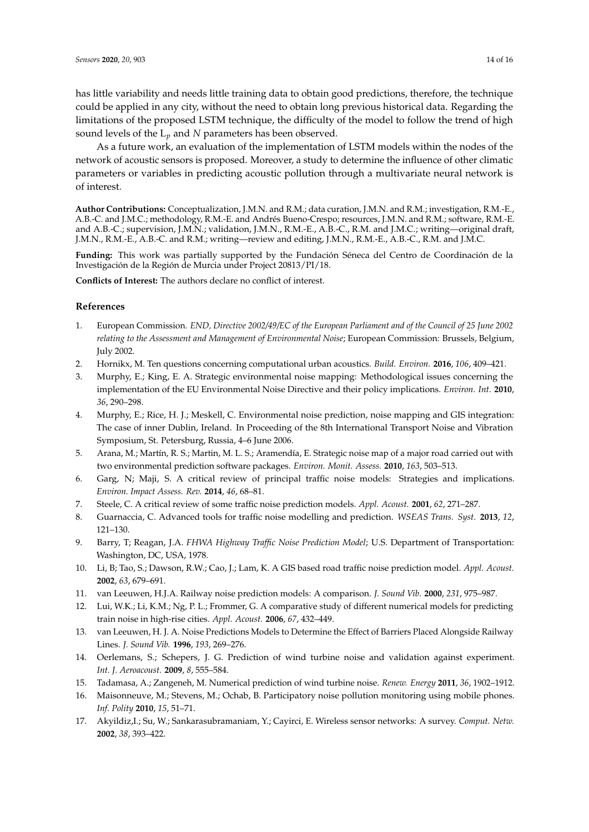has little variability and needs little training data to obtain good predictions, therefore, the technique could be applied in any city, without the need to obtain long previous historical data. Regarding the limitations of the proposed LSTM technique, the difficulty of the model to follow the trend of high sound levels of the L*<sup>p</sup>* and *N* parameters has been observed.

As a future work, an evaluation of the implementation of LSTM models within the nodes of the network of acoustic sensors is proposed. Moreover, a study to determine the influence of other climatic parameters or variables in predicting acoustic pollution through a multivariate neural network is of interest.

**Author Contributions:** Conceptualization, J.M.N. and R.M.; data curation, J.M.N. and R.M.; investigation, R.M.-E., A.B.-C. and J.M.C.; methodology, R.M.-E. and Andrés Bueno-Crespo; resources, J.M.N. and R.M.; software, R.M.-E. and A.B.-C.; supervision, J.M.N.; validation, J.M.N., R.M.-E., A.B.-C., R.M. and J.M.C.; writing—original draft, J.M.N., R.M.-E., A.B.-C. and R.M.; writing—review and editing, J.M.N., R.M.-E., A.B.-C., R.M. and J.M.C.

**Funding:** This work was partially supported by the Fundación Séneca del Centro de Coordinación de la Investigación de la Región de Murcia under Project 20813/PI/18.

**Conflicts of Interest:** The authors declare no conflict of interest.

## **References**

- <span id="page-13-0"></span>1. European Commission. *END, Directive 2002/49/EC of the European Parliament and of the Council of 25 June 2002 relating to the Assessment and Management of Environmental Noise*; European Commission: Brussels, Belgium, July 2002.
- <span id="page-13-1"></span>2. Hornikx, M. Ten questions concerning computational urban acoustics. *Build. Environ.* **2016**, *106*, 409–421.
- <span id="page-13-2"></span>3. Murphy, E.; King, E. A. Strategic environmental noise mapping: Methodological issues concerning the implementation of the EU Environmental Noise Directive and their policy implications. *Environ. Int.* **2010**, *36*, 290–298.
- <span id="page-13-3"></span>4. Murphy, E.; Rice, H. J.; Meskell, C. Environmental noise prediction, noise mapping and GIS integration: The case of inner Dublin, Ireland. In Proceeding of the 8th International Transport Noise and Vibration Symposium, St. Petersburg, Russia, 4–6 June 2006.
- <span id="page-13-4"></span>5. Arana, M.; Martín, R. S.; Martin, M. L. S.; Aramendía, E. Strategic noise map of a major road carried out with two environmental prediction software packages. *Environ. Monit. Assess.* **2010**, *163*, 503–513.
- <span id="page-13-5"></span>6. Garg, N; Maji, S. A critical review of principal traffic noise models: Strategies and implications. *Environ. Impact Assess. Rev.* **2014**, *46*, 68–81.
- 7. Steele, C. A critical review of some traffic noise prediction models. *Appl. Acoust.* **2001**, *62*, 271–287.
- 8. Guarnaccia, C. Advanced tools for traffic noise modelling and prediction. *WSEAS Trans. Syst.* **2013**, *12*, 121–130.
- 9. Barry, T; Reagan, J.A. *FHWA Highway Traffic Noise Prediction Model*; U.S. Department of Transportation: Washington, DC, USA, 1978.
- <span id="page-13-6"></span>10. Li, B; Tao, S.; Dawson, R.W.; Cao, J.; Lam, K. A GIS based road traffic noise prediction model. *Appl. Acoust.* **2002**, *63*, 679–691.
- <span id="page-13-7"></span>11. van Leeuwen, H.J.A. Railway noise prediction models: A comparison. *J. Sound Vib.* **2000**, *231*, 975–987.
- 12. Lui, W.K.; Li, K.M.; Ng, P. L.; Frommer, G. A comparative study of different numerical models for predicting train noise in high-rise cities. *Appl. Acoust.* **2006**, *67*, 432–449.
- <span id="page-13-8"></span>13. van Leeuwen, H. J. A. Noise Predictions Models to Determine the Effect of Barriers Placed Alongside Railway Lines. *J. Sound Vib.* **1996**, *193*, 269–276.
- <span id="page-13-9"></span>14. Oerlemans, S.; Schepers, J. G. Prediction of wind turbine noise and validation against experiment. *Int. J. Aeroacoust.* **2009**, *8*, 555–584.
- <span id="page-13-10"></span>15. Tadamasa, A.; Zangeneh, M. Numerical prediction of wind turbine noise. *Renew. Energy* **2011**, *36*, 1902–1912.
- <span id="page-13-11"></span>16. Maisonneuve, M.; Stevens, M.; Ochab, B. Participatory noise pollution monitoring using mobile phones. *Inf. Polity* **2010**, *15*, 51–71.
- <span id="page-13-12"></span>17. Akyildiz,I.; Su, W.; Sankarasubramaniam, Y.; Cayirci, E. Wireless sensor networks: A survey. *Comput. Netw.* **2002**, *38*, 393–422.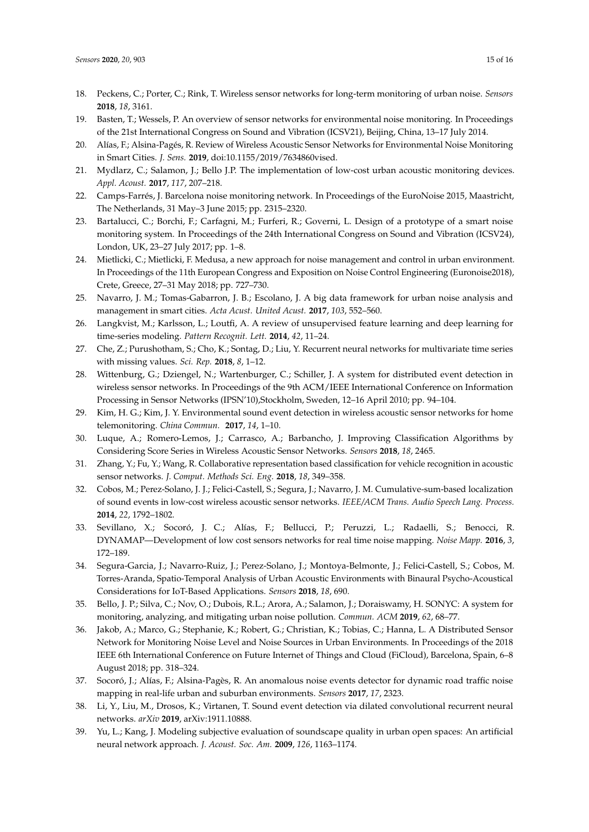- <span id="page-14-0"></span>18. Peckens, C.; Porter, C.; Rink, T. Wireless sensor networks for long-term monitoring of urban noise. *Sensors* **2018**, *18*, 3161.
- <span id="page-14-1"></span>19. Basten, T.; Wessels, P. An overview of sensor networks for environmental noise monitoring. In Proceedings of the 21st International Congress on Sound and Vibration (ICSV21), Beijing, China, 13–17 July 2014.
- <span id="page-14-2"></span>20. Alías, F.; Alsina-Pagés, R. Review of Wireless Acoustic Sensor Networks for Environmental Noise Monitoring in Smart Cities. *J. Sens.* **2019**, doi:10.1155/2019/7634860vised.
- <span id="page-14-3"></span>21. Mydlarz, C.; Salamon, J.; Bello J.P. The implementation of low-cost urban acoustic monitoring devices. *Appl. Acoust.* **2017**, *117*, 207–218.
- <span id="page-14-4"></span>22. Camps-Farrés, J. Barcelona noise monitoring network. In Proceedings of the EuroNoise 2015, Maastricht, The Netherlands, 31 May–3 June 2015; pp. 2315–2320.
- <span id="page-14-5"></span>23. Bartalucci, C.; Borchi, F.; Carfagni, M.; Furferi, R.; Governi, L. Design of a prototype of a smart noise monitoring system. In Proceedings of the 24th International Congress on Sound and Vibration (ICSV24), London, UK, 23–27 July 2017; pp. 1–8.
- <span id="page-14-6"></span>24. Mietlicki, C.; Mietlicki, F. Medusa, a new approach for noise management and control in urban environment. In Proceedings of the 11th European Congress and Exposition on Noise Control Engineering (Euronoise2018), Crete, Greece, 27–31 May 2018; pp. 727–730.
- <span id="page-14-7"></span>25. Navarro, J. M.; Tomas-Gabarron, J. B.; Escolano, J. A big data framework for urban noise analysis and management in smart cities. *Acta Acust. United Acust.* **2017**, *103*, 552–560.
- <span id="page-14-8"></span>26. Langkvist, M.; Karlsson, L.; Loutfi, A. A review of unsupervised feature learning and deep learning for time-series modeling. *Pattern Recognit. Lett.* **2014**, *42*, 11–24.
- <span id="page-14-9"></span>27. Che, Z.; Purushotham, S.; Cho, K.; Sontag, D.; Liu, Y. Recurrent neural networks for multivariate time series with missing values. *Sci. Rep.* **2018**, *8*, 1–12.
- <span id="page-14-10"></span>28. Wittenburg, G.; Dziengel, N.; Wartenburger, C.; Schiller, J. A system for distributed event detection in wireless sensor networks. In Proceedings of the 9th ACM/IEEE International Conference on Information Processing in Sensor Networks (IPSN'10),Stockholm, Sweden, 12–16 April 2010; pp. 94–104.
- <span id="page-14-11"></span>29. Kim, H. G.; Kim, J. Y. Environmental sound event detection in wireless acoustic sensor networks for home telemonitoring. *China Commun.* **2017**, *14*, 1–10.
- <span id="page-14-12"></span>30. Luque, A.; Romero-Lemos, J.; Carrasco, A.; Barbancho, J. Improving Classification Algorithms by Considering Score Series in Wireless Acoustic Sensor Networks. *Sensors* **2018**, *18*, 2465.
- <span id="page-14-13"></span>31. Zhang, Y.; Fu, Y.; Wang, R. Collaborative representation based classification for vehicle recognition in acoustic sensor networks. *J. Comput. Methods Sci. Eng.* **2018**, *18*, 349–358.
- <span id="page-14-14"></span>32. Cobos, M.; Perez-Solano, J. J.; Felici-Castell, S.; Segura, J.; Navarro, J. M. Cumulative-sum-based localization of sound events in low-cost wireless acoustic sensor networks. *IEEE/ACM Trans. Audio Speech Lang. Process.* **2014**, *22*, 1792–1802.
- <span id="page-14-15"></span>33. Sevillano, X.; Socoró, J. C.; Alías, F.; Bellucci, P.; Peruzzi, L.; Radaelli, S.; Benocci, R. DYNAMAP—Development of low cost sensors networks for real time noise mapping. *Noise Mapp.* **2016**, *3*, 172–189.
- <span id="page-14-16"></span>34. Segura-Garcia, J.; Navarro-Ruiz, J.; Perez-Solano, J.; Montoya-Belmonte, J.; Felici-Castell, S.; Cobos, M. Torres-Aranda, Spatio-Temporal Analysis of Urban Acoustic Environments with Binaural Psycho-Acoustical Considerations for IoT-Based Applications. *Sensors* **2018**, *18*, 690.
- <span id="page-14-17"></span>35. Bello, J. P.; Silva, C.; Nov, O.; Dubois, R.L.; Arora, A.; Salamon, J.; Doraiswamy, H. SONYC: A system for monitoring, analyzing, and mitigating urban noise pollution. *Commun. ACM* **2019**, *62*, 68–77.
- <span id="page-14-18"></span>36. Jakob, A.; Marco, G.; Stephanie, K.; Robert, G.; Christian, K.; Tobias, C.; Hanna, L. A Distributed Sensor Network for Monitoring Noise Level and Noise Sources in Urban Environments. In Proceedings of the 2018 IEEE 6th International Conference on Future Internet of Things and Cloud (FiCloud), Barcelona, Spain, 6–8 August 2018; pp. 318–324.
- <span id="page-14-19"></span>37. Socoró, J.; Alías, F.; Alsina-Pagès, R. An anomalous noise events detector for dynamic road traffic noise mapping in real-life urban and suburban environments. *Sensors* **2017**, *17*, 2323.
- <span id="page-14-20"></span>38. Li, Y., Liu, M., Drosos, K.; Virtanen, T. Sound event detection via dilated convolutional recurrent neural networks. *arXiv* **2019**, arXiv:1911.10888.
- <span id="page-14-21"></span>39. Yu, L.; Kang, J. Modeling subjective evaluation of soundscape quality in urban open spaces: An artificial neural network approach. *J. Acoust. Soc. Am.* **2009**, *126*, 1163–1174.